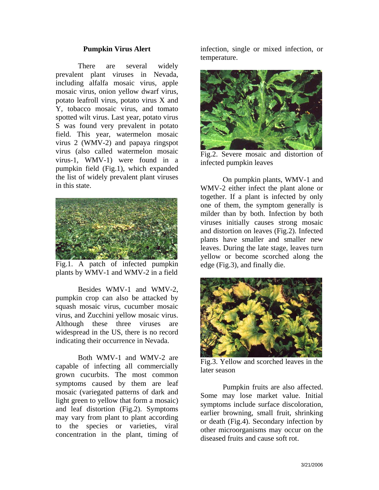## **Pumpkin Virus Alert**

 There are several widely prevalent plant viruses in Nevada, including alfalfa mosaic virus, apple mosaic virus, onion yellow dwarf virus, potato leafroll virus, potato virus X and Y, tobacco mosaic virus, and tomato spotted wilt virus. Last year, potato virus S was found very prevalent in potato field. This year, watermelon mosaic virus 2 (WMV-2) and papaya ringspot virus (also called watermelon mosaic virus-1, WMV-1) were found in a pumpkin field (Fig.1), which expanded the list of widely prevalent plant viruses in this state.



Fig.1. A patch of infected pumpkin plants by WMV-1 and WMV-2 in a field

 Besides WMV-1 and WMV-2, pumpkin crop can also be attacked by squash mosaic virus, cucumber mosaic virus, and Zucchini yellow mosaic virus. Although these three viruses are widespread in the US, there is no record indicating their occurrence in Nevada.

 Both WMV-1 and WMV-2 are capable of infecting all commercially grown cucurbits. The most common symptoms caused by them are leaf mosaic (variegated patterns of dark and light green to yellow that form a mosaic) and leaf distortion (Fig.2). Symptoms may vary from plant to plant according to the species or varieties, viral concentration in the plant, timing of infection, single or mixed infection, or temperature.



Fig.2. Severe mosaic and distortion of infected pumpkin leaves

 On pumpkin plants, WMV-1 and WMV-2 either infect the plant alone or together. If a plant is infected by only one of them, the symptom generally is milder than by both. Infection by both viruses initially causes strong mosaic and distortion on leaves (Fig.2). Infected plants have smaller and smaller new leaves. During the late stage, leaves turn yellow or become scorched along the edge (Fig.3), and finally die.



Fig.3. Yellow and scorched leaves in the later season

 Pumpkin fruits are also affected. Some may lose market value. Initial symptoms include surface discoloration, earlier browning, small fruit, shrinking or death (Fig.4). Secondary infection by other microorganisms may occur on the diseased fruits and cause soft rot.